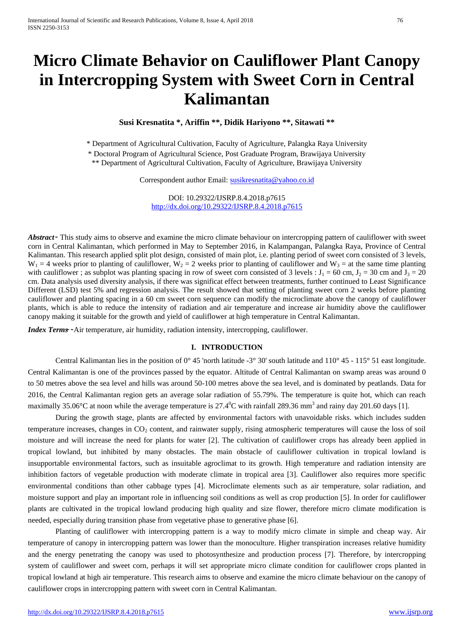# **Micro Climate Behavior on Cauliflower Plant Canopy in Intercropping System with Sweet Corn in Central Kalimantan**

**Susi Kresnatita \*, Ariffin \*\*, Didik Hariyono \*\*, Sitawati \*\***

\* Department of Agricultural Cultivation, Faculty of Agriculture, Palangka Raya University

\* Doctoral Program of Agricultural Science, Post Graduate Program, Brawijaya University

\*\* Department of Agricultural Cultivation, Faculty of Agriculture, Brawijaya University

Correspondent author Email: [susikresnatita@yahoo.co.id](mailto:susikresnatita@yahoo.co.id)

DOI: 10.29322/IJSRP.8.4.2018.p7615 <http://dx.doi.org/10.29322/IJSRP.8.4.2018.p7615>

*Abstract*  $\sim$  This study aims to observe and examine the micro climate behaviour on intercropping pattern of cauliflower with sweet corn in Central Kalimantan, which performed in May to September 2016, in Kalampangan, Palangka Raya, Province of Central Kalimantan. This research applied split plot design, consisted of main plot, i.e. planting period of sweet corn consisted of 3 levels,  $W_1 = 4$  weeks prior to planting of cauliflower,  $W_2 = 2$  weeks prior to planting of cauliflower and  $W_3 =$  at the same time planting with cauliflower ; as subplot was planting spacing in row of sweet corn consisted of 3 levels :  $J_1 = 60$  cm,  $J_2 = 30$  cm and  $J_3 = 20$ cm. Data analysis used diversity analysis, if there was significat effect between treatments, further continued to Least Significance Different (LSD) test 5% and regression analysis. The result showed that setting of planting sweet corn 2 weeks before planting cauliflower and planting spacing in a 60 cm sweet corn sequence can modify the microclimate above the canopy of cauliflower plants, which is able to reduce the intensity of radiation and air temperature and increase air humidity above the cauliflower canopy making it suitable for the growth and yield of cauliflower at high temperature in Central Kalimantan.

*Index Terms*  $\sim$  Air temperature, air humidity, radiation intensity, intercropping, cauliflower.

#### **I. INTRODUCTION**

Central Kalimantan lies in the position of 0° 45 'north latitude -3° 30' south latitude and  $110^{\circ}$  45 -  $115^{\circ}$  51 east longitude. Central Kalimantan is one of the provinces passed by the equator. Altitude of Central Kalimantan on swamp areas was around 0 to 50 metres above the sea level and hills was around 50-100 metres above the sea level, and is dominated by peatlands. Data for 2016, the Central Kalimantan region gets an average solar radiation of 55.79%. The temperature is quite hot, which can reach maximally 35.06°C at noon while the average temperature is  $27.4^0C$  with rainfall 289.36 mm<sup>3</sup> and rainy day 201.60 days [1].

During the growth stage, plants are affected by environmental factors with unavoidable risks. which includes sudden temperature increases, changes in CO<sub>2</sub> content, and rainwater supply, rising atmospheric temperatures will cause the loss of soil moisture and will increase the need for plants for water [2]. The cultivation of cauliflower crops has already been applied in tropical lowland, but inhibited by many obstacles. The main obstacle of cauliflower cultivation in tropical lowland is insupportable environmental factors, such as insuitable agroclimat to its growth. High temperature and radiation intensity are inhibition factors of vegetable production with moderate climate in tropical area [3]. Cauliflower also requires more specific environmental conditions than other cabbage types [4]. Microclimate elements such as air temperature, solar radiation, and moisture support and play an important role in influencing soil conditions as well as crop production [5]. In order for cauliflower plants are cultivated in the tropical lowland producing high quality and size flower, therefore micro climate modification is needed, especially during transition phase from vegetative phase to generative phase [6].

Planting of cauliflower with intercropping pattern is a way to modify micro climate in simple and cheap way. Air temperature of canopy in intercropping pattern was lower than the monoculture. Higher transpiration increases relative humidity and the energy penetrating the canopy was used to photosynthesize and production process [7]. Therefore, by intercropping system of cauliflower and sweet corn, perhaps it will set appropriate micro climate condition for cauliflower crops planted in tropical lowland at high air temperature. This research aims to observe and examine the micro climate behaviour on the canopy of cauliflower crops in intercropping pattern with sweet corn in Central Kalimantan.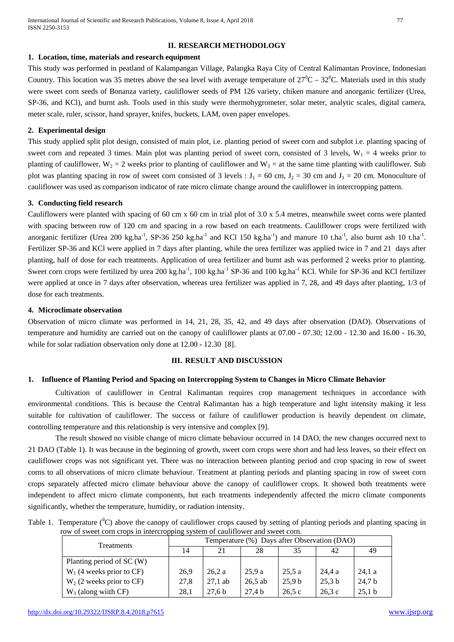# **II. RESEARCH METHODOLOGY**

#### **1. Location, time, materials and research equipment**

This study was performed in peatland of Kalampangan Village, Palangka Raya City of Central Kalimantan Province, Indonesian Country. This location was 35 metres above the sea level with average temperature of  $27^0C - 32^0C$ . Materials used in this study were sweet corn seeds of Bonanza variety, cauliflower seeds of PM 126 variety, chiken manure and anorganic fertilizer (Urea, SP-36, and KCl), and burnt ash. Tools used in this study were thermohygrometer, solar meter, analytic scales, digital camera, meter scale, ruler, scissor, hand sprayer, knifes, buckets, LAM, oven paper envelopes.

## **2. Experimental design**

This study applied split plot design, consisted of main plot, i.e. planting period of sweet corn and subplot i.e. planting spacing of sweet corn and repeated 3 times. Main plot was planting period of sweet corn, consisted of 3 levels,  $W_1 = 4$  weeks prior to planting of cauliflower,  $W_2 = 2$  weeks prior to planting of cauliflower and  $W_3 =$  at the same time planting with cauliflower. Sub plot was planting spacing in row of sweet corn consisted of 3 levels :  $J_1 = 60$  cm,  $J_2 = 30$  cm and  $J_3 = 20$  cm. Monoculture of cauliflower was used as comparison indicator of rate micro climate change around the cauliflower in intercropping pattern.

### **3. Conducting field research**

Cauliflowers were planted with spacing of 60 cm x 60 cm in trial plot of 3.0 x 5.4 metres, meanwhile sweet corns were planted with spacing between row of 120 cm and spacing in a row based on each treatments. Cauliflower crops were fertilized with anorganic fertilizer (Urea 200 kg.ha<sup>-1</sup>, SP-36 250 kg.ha<sup>-1</sup> and KCl 150 kg.ha<sup>-1</sup>) and manure 10 t.ha<sup>-1</sup>, also burnt ash 10 t.ha<sup>-1</sup>. Fertilizer SP-36 and KCl were applied in 7 days after planting, while the urea fertilizer was applied twice in 7 and 21 days after planting, half of dose for each treatments. Application of urea fertilizer and burnt ash was performed 2 weeks prior to planting. Sweet corn crops were fertilized by urea 200 kg.ha<sup>-1</sup>, 100 kg.ha<sup>-1</sup> SP-36 and 100 kg.ha<sup>-1</sup> KCl. While for SP-36 and KCl fertilizer were applied at once in 7 days after observation, whereas urea fertilizer was applied in 7, 28, and 49 days after planting, 1/3 of dose for each treatments.

### **4. Microclimate observation**

Observation of micro climate was performed in 14, 21, 28, 35, 42, and 49 days after observation (DAO). Observations of temperature and humidity are carried out on the canopy of cauliflower plants at 07.00 - 07.30; 12.00 - 12.30 and 16.00 - 16.30, while for solar radiation observation only done at  $12.00 - 12.30$  [8].

## **III. RESULT AND DISCUSSION**

## **1. Influence of Planting Period and Spacing on Intercropping System to Changes in Micro Climate Behavior**

Cultivation of cauliflower in Central Kalimantan requires crop management techniques in accordance with environmental conditions. This is because the Central Kalimantan has a high temperature and light intensity making it less suitable for cultivation of cauliflower. The success or failure of cauliflower production is heavily dependent on climate, controlling temperature and this relationship is very intensive and complex [9].

The result showed no visible change of micro climate behaviour occurred in 14 DAO, the new changes occurred next to 21 DAO (Table 1). It was because in the beginning of growth, sweet corn crops were short and had less leaves, so their effect on cauliflower crops was not significant yet. There was no interaction between planting period and crop spacing in row of sweet corns to all observations of micro climate behaviour. Treatment at planting periods and planting spacing in row of sweet corn crops separately affected micro climate behaviour above the canopy of cauliflower crops. It showed both treatments were independent to affect micro climate components, but each treatments independently affected the micro climate components significantly, whether the temperature, humidity, or radiation intensity.

| Table 1. Temperature $(^0C)$ above the canopy of cauliflower crops caused by setting of planting periods and planting spacing in |  |
|----------------------------------------------------------------------------------------------------------------------------------|--|
| row of sweet corn crops in intercropping system of cauliflower and sweet corn.                                                   |  |

| <b>Treatments</b>           | Temperature (%) Days after Observation (DAO) |                   |                   |                   |        |        |  |
|-----------------------------|----------------------------------------------|-------------------|-------------------|-------------------|--------|--------|--|
|                             | 14                                           | 21                | 28                | 35                | 42     | 49     |  |
| Planting period of SC (W)   |                                              |                   |                   |                   |        |        |  |
| $W_1$ (4 weeks prior to CF) | 26.9                                         | 26,2a             | 25,9a             | 25.5a             | 24.4 a | 24.1a  |  |
| $W_2$ (2 weeks prior to CF) | 27.8                                         | $27,1$ ab         | $26,5$ ab         | 25.9 <sub>b</sub> | 25,3 b | 24,7 b |  |
| $W_3$ (along wiith CF)      | 28,1                                         | 27.6 <sub>b</sub> | 27.4 <sub>b</sub> | 26.5c             | 26,3c  | 25,1 b |  |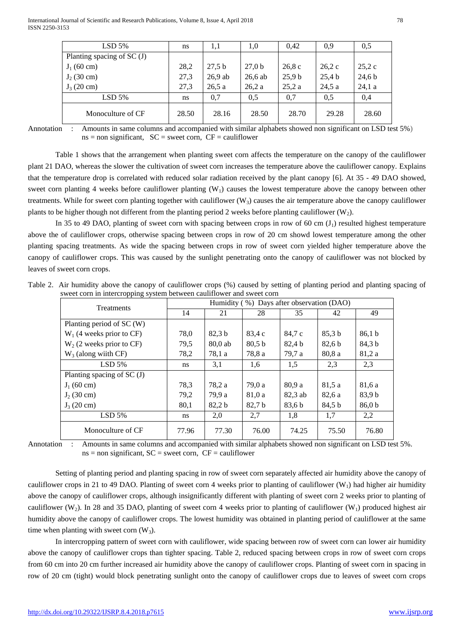| $LSD$ 5%                    | ns    | 1,1       | 1,0       | 0.42   | 0.9    | 0.5    |
|-----------------------------|-------|-----------|-----------|--------|--------|--------|
| Planting spacing of $SC(J)$ |       |           |           |        |        |        |
| $J_1(60 \text{ cm})$        | 28,2  | 27,5 b    | 27,0 b    | 26.8c  | 26.2c  | 25,2c  |
| $J_2$ (30 cm)               | 27,3  | $26.9$ ab | $26,6$ ab | 25,9 b | 25,4 b | 24,6 b |
| $J_3(20 \text{ cm})$        | 27.3  | 26.5a     | 26,2a     | 25,2a  | 24,5a  | 24.1a  |
| $LSD$ 5%                    | ns    | 0,7       | 0.5       | 0.7    | 0.5    | 0,4    |
| Monoculture of CF           | 28.50 | 28.16     | 28.50     | 28.70  | 29.28  | 28.60  |

Annotation : Amounts in same columns and accompanied with similar alphabets showed non significant on LSD test 5%)  $ns = non significant, SC = sweet corn, CF = caulflower$ 

Table 1 shows that the arrangement when planting sweet corn affects the temperature on the canopy of the cauliflower plant 21 DAO, whereas the slower the cultivation of sweet corn increases the temperature above the cauliflower canopy. Explains that the temperature drop is correlated with reduced solar radiation received by the plant canopy [6]. At 35 - 49 DAO showed, sweet corn planting 4 weeks before cauliflower planting  $(W_1)$  causes the lowest temperature above the canopy between other treatments. While for sweet corn planting together with cauliflower  $(W_3)$  causes the air temperature above the canopy cauliflower plants to be higher though not different from the planting period 2 weeks before planting cauliflower  $(W_2)$ .

In 35 to 49 DAO, planting of sweet corn with spacing between crops in row of 60 cm  $(J_1)$  resulted highest temperature above the of cauliflower crops, otherwise spacing between crops in row of 20 cm showd lowest temperature among the other planting spacing treatments. As wide the spacing between crops in row of sweet corn yielded higher temperature above the canopy of cauliflower crops. This was caused by the sunlight penetrating onto the canopy of cauliflower was not blocked by leaves of sweet corn crops.

|                                                                       | Table 2. Air humidity above the canopy of cauliflower crops (%) caused by setting of planting period and planting spacing of |  |  |    |  |  |    |  |  |
|-----------------------------------------------------------------------|------------------------------------------------------------------------------------------------------------------------------|--|--|----|--|--|----|--|--|
| sweet corn in intercropping system between cauliflower and sweet corn |                                                                                                                              |  |  |    |  |  |    |  |  |
|                                                                       | Humidity (%) Days after observation (DAO)<br><b>Treatments</b>                                                               |  |  |    |  |  |    |  |  |
|                                                                       |                                                                                                                              |  |  | 28 |  |  | 49 |  |  |
|                                                                       |                                                                                                                              |  |  |    |  |  |    |  |  |

| <b>Treatments</b>           | $11$ $\ldots$ , $\ldots$ , $\ldots$ , $\ldots$ , $\ldots$ , $\ldots$ , $\ldots$ , $\ldots$ , $\ldots$ , $\ldots$ , $\ldots$ , $\ldots$ , $\ldots$ , $\ldots$ , $\ldots$ , $\ldots$ , $\ldots$ , $\ldots$ , $\ldots$ , $\ldots$ , $\ldots$ , $\ldots$ , $\ldots$ , $\ldots$ , $\ldots$ , $\ldots$ , $\ldots$ , $\ldots$ , $\ldots$ , $\ldots$ , $\ldots$ , |         |        |         |        |                   |  |
|-----------------------------|-----------------------------------------------------------------------------------------------------------------------------------------------------------------------------------------------------------------------------------------------------------------------------------------------------------------------------------------------------------|---------|--------|---------|--------|-------------------|--|
|                             | 14                                                                                                                                                                                                                                                                                                                                                        | 21      | 28     | 35      | 42     | 49                |  |
| Planting period of SC (W)   |                                                                                                                                                                                                                                                                                                                                                           |         |        |         |        |                   |  |
| $W_1$ (4 weeks prior to CF) | 78,0                                                                                                                                                                                                                                                                                                                                                      | 82,3 b  | 83,4 c | 84,7 c  | 85,3 b | 86.1 <sub>b</sub> |  |
| $W_2$ (2 weeks prior to CF) | 79,5                                                                                                                                                                                                                                                                                                                                                      | 80,0 ab | 80,5 b | 82,4 b  | 82,6 b | 84,3 b            |  |
| $W_3$ (along wiith CF)      | 78,2                                                                                                                                                                                                                                                                                                                                                      | 78,1 a  | 78,8 a | 79,7 a  | 80,8 a | 81,2 a            |  |
| $LSD$ 5%                    | ns.                                                                                                                                                                                                                                                                                                                                                       | 3,1     | 1,6    | 1,5     | 2,3    | 2,3               |  |
| Planting spacing of $SC(J)$ |                                                                                                                                                                                                                                                                                                                                                           |         |        |         |        |                   |  |
| $J_1(60 \text{ cm})$        | 78.3                                                                                                                                                                                                                                                                                                                                                      | 78.2 a  | 79,0 a | 80.9 a  | 81,5 a | 81,6 a            |  |
| $J_2$ (30 cm)               | 79,2                                                                                                                                                                                                                                                                                                                                                      | 79,9 a  | 81,0 a | 82,3 ab | 82,6 a | 83,9 b            |  |
| $J_3(20 \text{ cm})$        | 80,1                                                                                                                                                                                                                                                                                                                                                      | 82,2 b  | 82,7 b | 83,6 b  | 84,5 b | 86,0 b            |  |
| $LSD$ 5%                    | ns.                                                                                                                                                                                                                                                                                                                                                       | 2,0     | 2,7    | 1,8     | 1,7    | 2,2               |  |
| Monoculture of CF           | 77.96                                                                                                                                                                                                                                                                                                                                                     | 77.30   | 76.00  | 74.25   | 75.50  | 76.80             |  |

Annotation : Amounts in same columns and accompanied with similar alphabets showed non significant on LSD test 5%.  $ns = non significant, SC = sweet corn, CF = cauliflower$ 

Setting of planting period and planting spacing in row of sweet corn separately affected air humidity above the canopy of cauliflower crops in 21 to 49 DAO. Planting of sweet corn 4 weeks prior to planting of cauliflower  $(W_1)$  had higher air humidity above the canopy of cauliflower crops, although insignificantly different with planting of sweet corn 2 weeks prior to planting of cauliflower (W<sub>2</sub>). In 28 and 35 DAO, planting of sweet corn 4 weeks prior to planting of cauliflower (W<sub>1</sub>) produced highest air humidity above the canopy of cauliflower crops. The lowest humidity was obtained in planting period of cauliflower at the same time when planting with sweet corn  $(W_3)$ .

In intercropping pattern of sweet corn with cauliflower, wide spacing between row of sweet corn can lower air humidity above the canopy of cauliflower crops than tighter spacing. Table 2, reduced spacing between crops in row of sweet corn crops from 60 cm into 20 cm further increased air humidity above the canopy of cauliflower crops. Planting of sweet corn in spacing in row of 20 cm (tight) would block penetrating sunlight onto the canopy of cauliflower crops due to leaves of sweet corn crops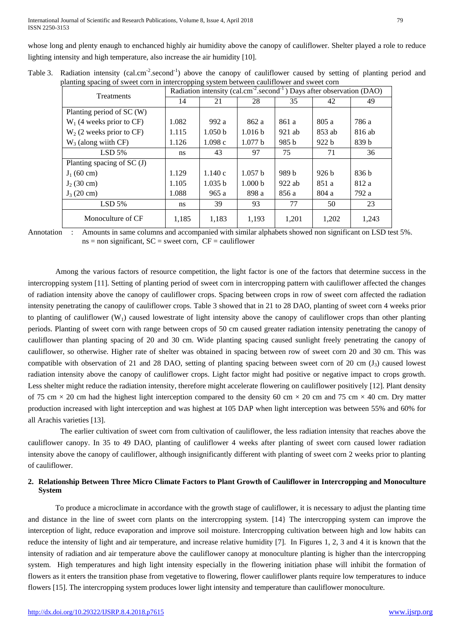whose long and plenty enaugh to enchanced highly air humidity above the canopy of cauliflower. Shelter played a role to reduce lighting intensity and high temperature, also increase the air humidity [10].

| Table 3. Radiation intensity (cal.cm <sup>-2</sup> .second <sup>-1</sup> ) above the canopy of cauliflower caused by setting of planting period and |  |
|-----------------------------------------------------------------------------------------------------------------------------------------------------|--|
| planting spacing of sweet corn in intercropping system between cauliflower and sweet corn                                                           |  |

| <b>Treatments</b>           | Radiation intensity (cal.cm <sup>-2</sup> .second <sup>-1</sup> ) Days after observation (DAO) |                    |                    |          |          |        |  |
|-----------------------------|------------------------------------------------------------------------------------------------|--------------------|--------------------|----------|----------|--------|--|
|                             | 14                                                                                             | 21                 | 28                 | 35       | 42       | 49     |  |
| Planting period of SC (W)   |                                                                                                |                    |                    |          |          |        |  |
| $W_1$ (4 weeks prior to CF) | 1.082                                                                                          | 992 a              | 862 a              | 861 a    | 805a     | 786 a  |  |
| $W_2$ (2 weeks prior to CF) | 1.115                                                                                          | 1.050 <sub>b</sub> | 1.016 <sub>b</sub> | $921$ ab | $853$ ab | 816 ab |  |
| $W_3$ (along wiith CF)      | 1.126                                                                                          | 1.098c             | 1.077 <sub>b</sub> | 985 b    | 922h     | 839 b  |  |
| $LSD$ 5%                    | ns                                                                                             | 43                 | 97                 | 75       | 71       | 36     |  |
| Planting spacing of $SC(J)$ |                                                                                                |                    |                    |          |          |        |  |
| $J_1(60 \text{ cm})$        | 1.129                                                                                          | 1.140c             | 1.057 h            | 989 b    | 926h     | 836h   |  |
| $J_2(30 \text{ cm})$        | 1.105                                                                                          | 1.035 h            | 1.000 <sub>b</sub> | $922$ ab | 851 a    | 812 a  |  |
| $J_3(20 \text{ cm})$        | 1.088                                                                                          | 965a               | 898 a              | 856 a    | 804a     | 792 a  |  |
| $LSD$ 5%                    | ns                                                                                             | 39                 | 93                 | 77       | 50       | 23     |  |
| Monoculture of CF           | 1,185                                                                                          | 1,183              | 1,193              | 1,201    | 1,202    | 1,243  |  |

Annotation : Amounts in same columns and accompanied with similar alphabets showed non significant on LSD test 5%.  $ns = non significant, SC = sweet corn, CF = cauliflower$ 

Among the various factors of resource competition, the light factor is one of the factors that determine success in the intercropping system [11]. Setting of planting period of sweet corn in intercropping pattern with cauliflower affected the changes of radiation intensity above the canopy of cauliflower crops. Spacing between crops in row of sweet corn affected the radiation intensity penetrating the canopy of cauliflower crops. Table 3 showed that in 21 to 28 DAO, planting of sweet corn 4 weeks prior to planting of cauliflower  $(W_1)$  caused lowestrate of light intensity above the canopy of cauliflower crops than other planting periods. Planting of sweet corn with range between crops of 50 cm caused greater radiation intensity penetrating the canopy of cauliflower than planting spacing of 20 and 30 cm. Wide planting spacing caused sunlight freely penetrating the canopy of cauliflower, so otherwise. Higher rate of shelter was obtained in spacing between row of sweet corn 20 and 30 cm. This was compatible with observation of 21 and 28 DAO, setting of planting spacing between sweet corn of 20 cm  $(J_3)$  caused lowest radiation intensity above the canopy of cauliflower crops. Light factor might had positive or negative impact to crops growth. Less shelter might reduce the radiation intensity, therefore might accelerate flowering on cauliflower positively [12]. Plant density of 75 cm  $\times$  20 cm had the highest light interception compared to the density 60 cm  $\times$  20 cm and 75 cm  $\times$  40 cm. Dry matter production increased with light interception and was highest at 105 DAP when light interception was between 55% and 60% for all Arachis varieties [13].

The earlier cultivation of sweet corn from cultivation of cauliflower, the less radiation intensity that reaches above the cauliflower canopy. In 35 to 49 DAO, planting of cauliflower 4 weeks after planting of sweet corn caused lower radiation intensity above the canopy of cauliflower, although insignificantly different with planting of sweet corn 2 weeks prior to planting of cauliflower.

## **2. Relationship Between Three Micro Climate Factors to Plant Growth of Cauliflower in Intercropping and Monoculture System**

To produce a microclimate in accordance with the growth stage of cauliflower, it is necessary to adjust the planting time and distance in the line of sweet corn plants on the intercropping system. [14} The intercropping system can improve the interception of light, reduce evaporation and improve soil moisture. Intercropping cultivation between high and low habits can reduce the intensity of light and air temperature, and increase relative humidity [7]. In Figures 1, 2, 3 and 4 it is known that the intensity of radiation and air temperature above the cauliflower canopy at monoculture planting is higher than the intercropping system. High temperatures and high light intensity especially in the flowering initiation phase will inhibit the formation of flowers as it enters the transition phase from vegetative to flowering, flower cauliflower plants require low temperatures to induce flowers [15]. The intercropping system produces lower light intensity and temperature than cauliflower monoculture.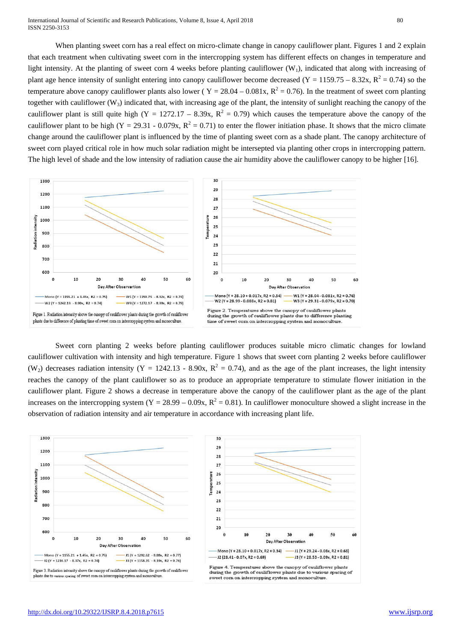International Journal of Scientific and Research Publications, Volume 8, Issue 4, April 2018 80 ISSN 2250-3153

When planting sweet corn has a real effect on micro-climate change in canopy cauliflower plant. Figures 1 and 2 explain that each treatment when cultivating sweet corn in the intercropping system has different effects on changes in temperature and light intensity. At the planting of sweet corn 4 weeks before planting cauliflower  $(W_1)$ , indicated that along with increasing of plant age hence intensity of sunlight entering into canopy cauliflower become decreased (Y = 1159.75 – 8.32x, R<sup>2</sup> = 0.74) so the temperature above canopy cauliflower plants also lower ( $Y = 28.04 - 0.081x$ ,  $R^2 = 0.76$ ). In the treatment of sweet corn planting together with cauliflower ( $W_3$ ) indicated that, with increasing age of the plant, the intensity of sunlight reaching the canopy of the cauliflower plant is still quite high (Y = 1272.17 – 8.39x,  $R^2 = 0.79$ ) which causes the temperature above the canopy of the cauliflower plant to be high  $(Y = 29.31 - 0.079x, R^2 = 0.71)$  to enter the flower initiation phase. It shows that the micro climate change around the cauliflower plant is influenced by the time of planting sweet corn as a shade plant. The canopy architecture of sweet corn played critical role in how much solar radiation might be intersepted via planting other crops in intercropping pattern. The high level of shade and the low intensity of radiation cause the air humidity above the cauliflower canopy to be higher [16].



Sweet corn planting 2 weeks before planting cauliflower produces suitable micro climatic changes for lowland cauliflower cultivation with intensity and high temperature. Figure 1 shows that sweet corn planting 2 weeks before cauliflower (W<sub>2</sub>) decreases radiation intensity (Y = 1242.13 - 8.90x, R<sup>2</sup> = 0.74), and as the age of the plant increases, the light intensity reaches the canopy of the plant cauliflower so as to produce an appropriate temperature to stimulate flower initiation in the cauliflower plant. Figure 2 shows a decrease in temperature above the canopy of the cauliflower plant as the age of the plant increases on the intercropping system  $(Y = 28.99 - 0.09x, R^2 = 0.81)$ . In cauliflower monoculture showed a slight increase in the observation of radiation intensity and air temperature in accordance with increasing plant life.

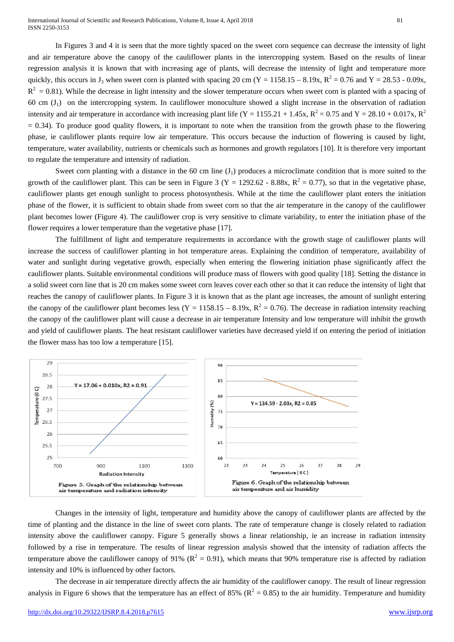International Journal of Scientific and Research Publications, Volume 8, Issue 4, April 2018 81 ISSN 2250-3153

In Figures 3 and 4 it is seen that the more tightly spaced on the sweet corn sequence can decrease the intensity of light and air temperature above the canopy of the cauliflower plants in the intercropping system. Based on the results of linear regression analysis it is known that with increasing age of plants, will decrease the intensity of light and temperature more quickly, this occurs in J<sub>3</sub> when sweet corn is planted with spacing 20 cm (Y = 1158.15 – 8.19x, R<sup>2</sup> = 0.76 and Y = 28.53 - 0.09x,  $R^2 = 0.81$ ). While the decrease in light intensity and the slower temperature occurs when sweet corn is planted with a spacing of 60 cm  $(J_1)$  on the intercropping system. In cauliflower monoculture showed a slight increase in the observation of radiation intensity and air temperature in accordance with increasing plant life (Y = 1155.21 + 1.45x, R<sup>2</sup> = 0.75 and Y = 28.10 + 0.017x, R<sup>2</sup>  $= 0.34$ ). To produce good quality flowers, it is important to note when the transition from the growth phase to the flowering phase, ie cauliflower plants require low air temperature. This occurs because the induction of flowering is caused by light, temperature, water availability, nutrients or chemicals such as hormones and growth regulators [10]. It is therefore very important to regulate the temperature and intensity of radiation.

Sweet corn planting with a distance in the 60 cm line  $(J_1)$  produces a microclimate condition that is more suited to the growth of the cauliflower plant. This can be seen in Figure 3 (Y = 1292.62 - 8.88x,  $R^2 = 0.77$ ), so that in the vegetative phase, cauliflower plants get enough sunlight to process photosynthesis. While at the time the cauliflower plant enters the initiation phase of the flower, it is sufficient to obtain shade from sweet corn so that the air temperature in the canopy of the cauliflower plant becomes lower (Figure 4). The cauliflower crop is very sensitive to climate variability, to enter the initiation phase of the flower requires a lower temperature than the vegetative phase [17].

The fulfillment of light and temperature requirements in accordance with the growth stage of cauliflower plants will increase the success of cauliflower planting in hot temperature areas. Explaining the condition of temperature, availability of water and sunlight during vegetative growth, especially when entering the flowering initiation phase significantly affect the cauliflower plants. Suitable environmental conditions will produce mass of flowers with good quality [18]. Setting the distance in a solid sweet corn line that is 20 cm makes some sweet corn leaves cover each other so that it can reduce the intensity of light that reaches the canopy of cauliflower plants. In Figure 3 it is known that as the plant age increases, the amount of sunlight entering the canopy of the cauliflower plant becomes less (Y = 1158.15 – 8.19x,  $R^2 = 0.76$ ). The decrease in radiation intensity reaching the canopy of the cauliflower plant will cause a decrease in air temperature Intensity and low temperature will inhibit the growth and yield of cauliflower plants. The heat resistant cauliflower varieties have decreased yield if on entering the period of initiation the flower mass has too low a temperature [15].



Changes in the intensity of light, temperature and humidity above the canopy of cauliflower plants are affected by the time of planting and the distance in the line of sweet corn plants. The rate of temperature change is closely related to radiation intensity above the cauliflower canopy. Figure 5 generally shows a linear relationship, ie an increase in radiation intensity followed by a rise in temperature. The results of linear regression analysis showed that the intensity of radiation affects the temperature above the cauliflower canopy of 91% ( $R^2 = 0.91$ ), which means that 90% temperature rise is affected by radiation intensity and 10% is influenced by other factors.

The decrease in air temperature directly affects the air humidity of the cauliflower canopy. The result of linear regression analysis in Figure 6 shows that the temperature has an effect of 85% ( $R^2 = 0.85$ ) to the air humidity. Temperature and humidity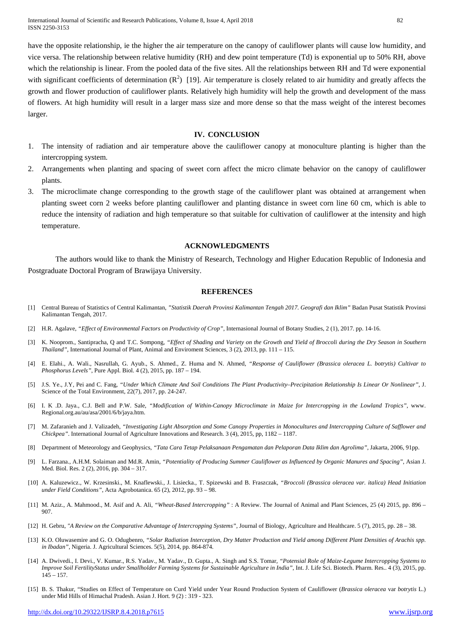International Journal of Scientific and Research Publications, Volume 8, Issue 4, April 2018 82 ISSN 2250-3153

have the opposite relationship, ie the higher the air temperature on the canopy of cauliflower plants will cause low humidity, and vice versa. The relationship between relative humidity (RH) and dew point temperature (Td) is exponential up to 50% RH, above which the relationship is linear. From the pooled data of the five sites. All the relationships between RH and Td were exponential with significant coefficients of determination  $(R^2)$  [19]. Air temperature is closely related to air humidity and greatly affects the growth and flower production of cauliflower plants. Relatively high humidity will help the growth and development of the mass of flowers. At high humidity will result in a larger mass size and more dense so that the mass weight of the interest becomes larger.

#### **IV. CONCLUSION**

- 1. The intensity of radiation and air temperature above the cauliflower canopy at monoculture planting is higher than the intercropping system.
- 2. Arrangements when planting and spacing of sweet corn affect the micro climate behavior on the canopy of cauliflower plants.
- 3. The microclimate change corresponding to the growth stage of the cauliflower plant was obtained at arrangement when planting sweet corn 2 weeks before planting cauliflower and planting distance in sweet corn line 60 cm, which is able to reduce the intensity of radiation and high temperature so that suitable for cultivation of cauliflower at the intensity and high temperature.

#### **ACKNOWLEDGMENTS**

The authors would like to thank the Ministry of Research, Technology and Higher Education Republic of Indonesia and Postgraduate Doctoral Program of Brawijaya University.

#### **REFERENCES**

- [1] Central Bureau of Statistics of Central Kalimantan, *"Statistik Daerah Provinsi Kalimantan Tengah 2017. Geografi dan Iklim"* Badan Pusat Statistik Provinsi Kalimantan Tengah, 2017.
- [2] H.R. Agalave, *"Effect of Environmental Factors on Productivity of Crop"*, Internasional Journal of Botany Studies, 2 (1), 2017. pp. 14-16.
- [3] K. Nooprom., Santipracha, Q and T.C. Sompong, *"Effect of Shading and Variety on the Growth and Yield of Broccoli during the Dry Season in Southern Thailand"*, International Journal of Plant, Animal and Enviroment Sciences, 3 (2), 2013, pp. 111 – 115.
- [4] E. Elahi., A. Wali., Nasrullah, G. Ayub., S. Ahmed., Z. Huma and N. Ahmed, *"Response of Cauliflower (Brassica oleracea L. botrytis) Cultivar to Phosphorus Levels"*, Pure Appl. Biol. 4 (2), 2015, pp. 187 – 194.
- [5] J.S. Ye., J.Y, Pei and C. Fang, *"Under Which Climate And Soil Conditions The Plant Productivity–Precipitation Relationship Is Linear Or Nonlinear"*, J. Science of the Total Environment, 22(7), 2017, pp. 24-247.
- [6] I. K .D. Jaya., C.J. Bell and P.W. Sale, *"Modification of Within-Canopy Microclimate in Maize for Intercropping in the Lowland Tropics"*, www. Regional.org.au/au/asa/2001/6/b/jaya.htm.
- [7] M. Zafaranieh and J. Valizadeh, *"Investigating Light Absorption and Some Canopy Properties in Monocultures and Intercropping Culture of Safflower and Chickpea"*. International Journal of Agriculture Innovations and Research. 3 (4), 2015, pp, 1182 – 1187.
- [8] Department of Meteorology and Geophysics, *"Tata Cara Tetap Pelaksanaan Pengamatan dan Pelaporan Data Iklim dan Agrolima"*, Jakarta, 2006, 91pp.
- [9] L. Farzana., A.H.M. Solaiman and Md.R. Amin, *"Potentiality of Producing Summer Cauliflower as Influenced by Organic Manures and Spacing"*, Asian J. Med. Biol. Res. 2 (2), 2016, pp. 304 – 317.
- [10] A. Kaluzewicz., W. Krzesinski., M. Knaflewski., J. Lisiecka., T. Spizewski and B. Fraszczak, *"Broccoli (Brassica oleracea var. italica) Head Initiation under Field Conditions"*, Acta Agrobotanica. 65 (2), 2012, pp. 93 – 98.
- [11] M. Aziz., A. Mahmood., M. Asif and A. Ali, *"Wheat-Based Intercropping"* : A Review. The Journal of Animal and Plant Sciences, 25 (4) 2015, pp. 896 907.
- [12] H. Gebru, *"A Review on the Comparative Advantage of Intercropping Systems"*, Journal of Biology, Agriculture and Healthcare. 5 (7), 2015, pp. 28 38.
- [13] K.O. Oluwasemire and G. O. Odugbenro, *"Solar Radiation Interception, Dry Matter Production and Yield among Different Plant Densities of Arachis spp. in Ibadan"*, Nigeria. J. Agricultural Sciences. 5(5), 2014, pp. 864-874.
- [14] A. Dwivedi., I. Devi., V. Kumar., R.S. Yadav., M. Yadav., D. Gupta., A. Singh and S.S. Tomar, *"Potensial Role of Maize-Legume Intercropping Systems to Improve Soil FertilityStatus under Smallholder Farming Systems for Sustainable Agriculture in India"*, Int. J. Life Sci. Biotech. Pharm. Res.. 4 (3), 2015, pp.  $145 - 157$ .
- [15] B. S. Thakur, "Studies on Effect of Temperature on Curd Yield under Year Round Production System of Cauliflower (*Brassica oleracea* var *botrytis* L.) under Mid Hills of Himachal Pradesh. Asian J. Hort*.* 9 (2) : 319 - 323.